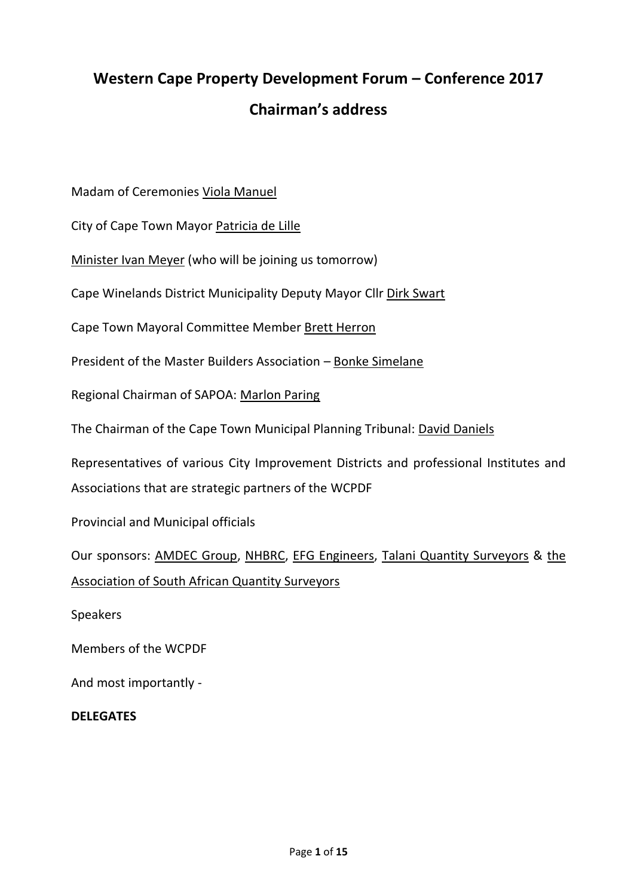# **Western Cape Property Development Forum – Conference 2017 Chairman's address**

Madam of Ceremonies Viola Manuel

City of Cape Town Mayor Patricia de Lille

Minister Ivan Meyer (who will be joining us tomorrow)

Cape Winelands District Municipality Deputy Mayor Cllr Dirk Swart

Cape Town Mayoral Committee Member Brett Herron

President of the Master Builders Association – Bonke Simelane

Regional Chairman of SAPOA: Marlon Paring

The Chairman of the Cape Town Municipal Planning Tribunal: David Daniels

Representatives of various City Improvement Districts and professional Institutes and Associations that are strategic partners of the WCPDF

Provincial and Municipal officials

Our sponsors: AMDEC Group, NHBRC, EFG Engineers, Talani Quantity Surveyors & the Association of South African Quantity Surveyors

Speakers

Members of the WCPDF

And most importantly -

#### **DELEGATES**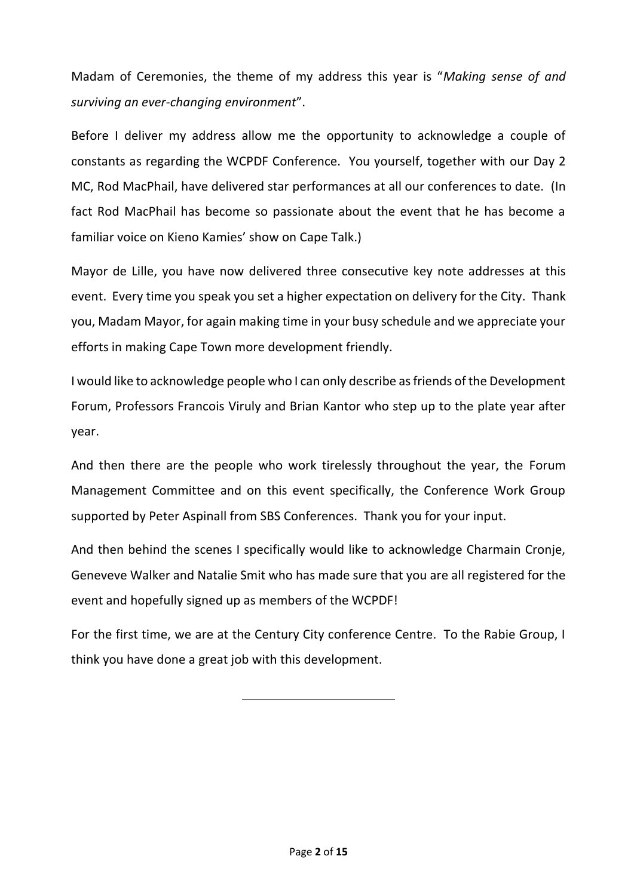Madam of Ceremonies, the theme of my address this year is "*Making sense of and surviving an ever-changing environment*".

Before I deliver my address allow me the opportunity to acknowledge a couple of constants as regarding the WCPDF Conference. You yourself, together with our Day 2 MC, Rod MacPhail, have delivered star performances at all our conferences to date. (In fact Rod MacPhail has become so passionate about the event that he has become a familiar voice on Kieno Kamies' show on Cape Talk.)

Mayor de Lille, you have now delivered three consecutive key note addresses at this event. Every time you speak you set a higher expectation on delivery for the City. Thank you, Madam Mayor, for again making time in your busy schedule and we appreciate your efforts in making Cape Town more development friendly.

I would like to acknowledge people who I can only describe as friends of the Development Forum, Professors Francois Viruly and Brian Kantor who step up to the plate year after year.

And then there are the people who work tirelessly throughout the year, the Forum Management Committee and on this event specifically, the Conference Work Group supported by Peter Aspinall from SBS Conferences. Thank you for your input.

And then behind the scenes I specifically would like to acknowledge Charmain Cronje, Geneveve Walker and Natalie Smit who has made sure that you are all registered for the event and hopefully signed up as members of the WCPDF!

For the first time, we are at the Century City conference Centre. To the Rabie Group, I think you have done a great job with this development.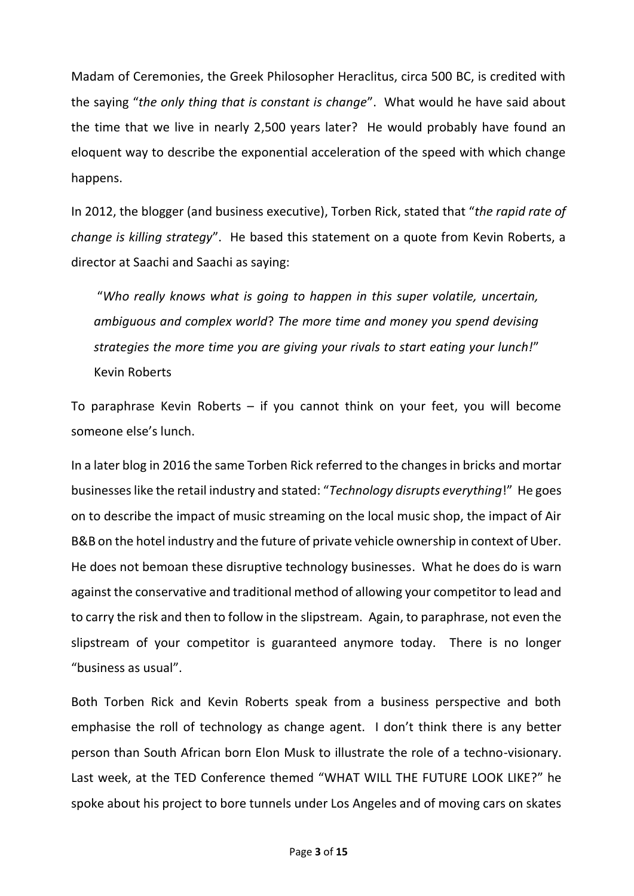Madam of Ceremonies, the Greek Philosopher Heraclitus, circa 500 BC, is credited with the saying "*the only thing that is constant is change*". What would he have said about the time that we live in nearly 2,500 years later? He would probably have found an eloquent way to describe the exponential acceleration of the speed with which change happens.

In 2012, the blogger (and business executive), Torben Rick, stated that "*the rapid rate of change is killing strategy*". He based this statement on a quote from Kevin Roberts, a director at Saachi and Saachi as saying:

"*Who really knows what is going to happen in this super volatile, uncertain, ambiguous and complex world*? *The more time and money you spend devising strategies the more time you are giving your rivals to start eating your lunch!*" Kevin Roberts

To paraphrase Kevin Roberts – if you cannot think on your feet, you will become someone else's lunch.

In a later blog in 2016 the same Torben Rick referred to the changes in bricks and mortar businesses like the retail industry and stated: "*Technology disrupts everything*!" He goes on to describe the impact of music streaming on the local music shop, the impact of Air B&B on the hotel industry and the future of private vehicle ownership in context of Uber. He does not bemoan these disruptive technology businesses. What he does do is warn against the conservative and traditional method of allowing your competitor to lead and to carry the risk and then to follow in the slipstream. Again, to paraphrase, not even the slipstream of your competitor is guaranteed anymore today. There is no longer "business as usual".

Both Torben Rick and Kevin Roberts speak from a business perspective and both emphasise the roll of technology as change agent. I don't think there is any better person than South African born Elon Musk to illustrate the role of a techno-visionary. Last week, at the TED Conference themed "WHAT WILL THE FUTURE LOOK LIKE?" he spoke about his project to bore tunnels under Los Angeles and of moving cars on skates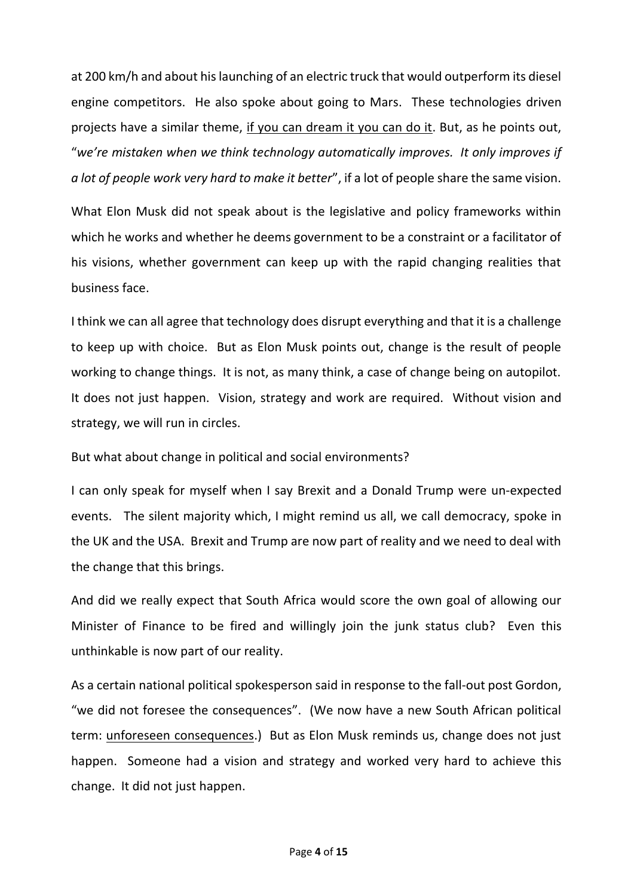at 200 km/h and about his launching of an electric truck that would outperform its diesel engine competitors. He also spoke about going to Mars. These technologies driven projects have a similar theme, if you can dream it you can do it. But, as he points out, "*we're mistaken when we think technology automatically improves. It only improves if a lot of people work very hard to make it better*", if a lot of people share the same vision.

What Elon Musk did not speak about is the legislative and policy frameworks within which he works and whether he deems government to be a constraint or a facilitator of his visions, whether government can keep up with the rapid changing realities that business face.

I think we can all agree that technology does disrupt everything and that it is a challenge to keep up with choice. But as Elon Musk points out, change is the result of people working to change things. It is not, as many think, a case of change being on autopilot. It does not just happen. Vision, strategy and work are required. Without vision and strategy, we will run in circles.

But what about change in political and social environments?

I can only speak for myself when I say Brexit and a Donald Trump were un-expected events. The silent majority which, I might remind us all, we call democracy, spoke in the UK and the USA. Brexit and Trump are now part of reality and we need to deal with the change that this brings.

And did we really expect that South Africa would score the own goal of allowing our Minister of Finance to be fired and willingly join the junk status club? Even this unthinkable is now part of our reality.

As a certain national political spokesperson said in response to the fall-out post Gordon, "we did not foresee the consequences". (We now have a new South African political term: unforeseen consequences.) But as Elon Musk reminds us, change does not just happen. Someone had a vision and strategy and worked very hard to achieve this change. It did not just happen.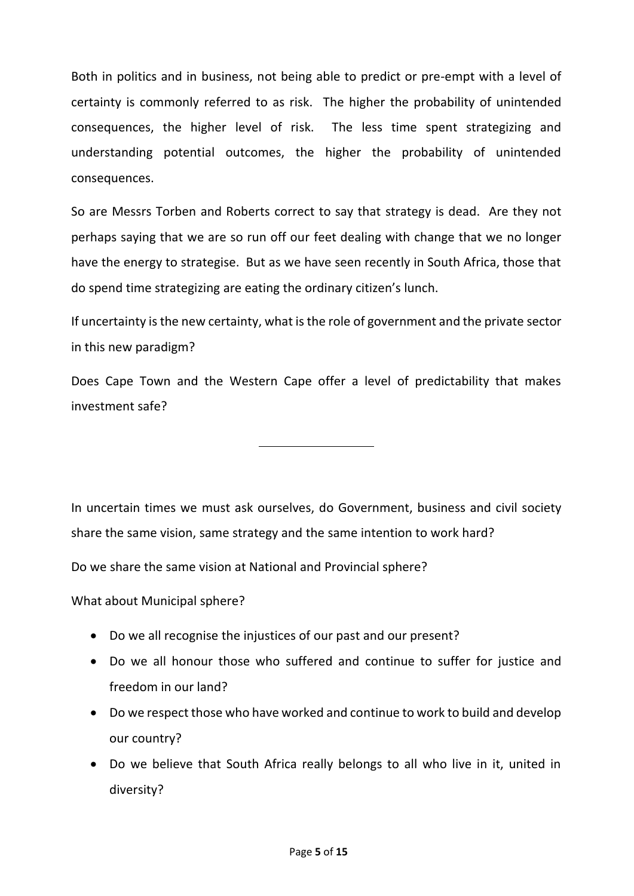Both in politics and in business, not being able to predict or pre-empt with a level of certainty is commonly referred to as risk. The higher the probability of unintended consequences, the higher level of risk. The less time spent strategizing and understanding potential outcomes, the higher the probability of unintended consequences.

So are Messrs Torben and Roberts correct to say that strategy is dead. Are they not perhaps saying that we are so run off our feet dealing with change that we no longer have the energy to strategise. But as we have seen recently in South Africa, those that do spend time strategizing are eating the ordinary citizen's lunch.

If uncertainty is the new certainty, what is the role of government and the private sector in this new paradigm?

Does Cape Town and the Western Cape offer a level of predictability that makes investment safe?

In uncertain times we must ask ourselves, do Government, business and civil society share the same vision, same strategy and the same intention to work hard?

Do we share the same vision at National and Provincial sphere?

What about Municipal sphere?

- Do we all recognise the injustices of our past and our present?
- Do we all honour those who suffered and continue to suffer for justice and freedom in our land?
- Do we respect those who have worked and continue to work to build and develop our country?
- Do we believe that South Africa really belongs to all who live in it, united in diversity?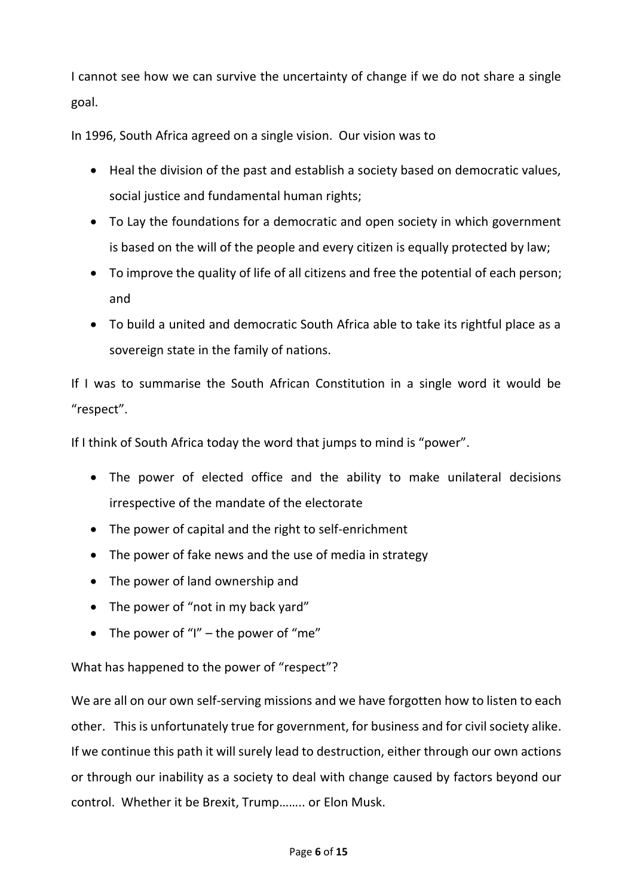I cannot see how we can survive the uncertainty of change if we do not share a single goal.

In 1996, South Africa agreed on a single vision. Our vision was to

- Heal the division of the past and establish a society based on democratic values, social justice and fundamental human rights;
- To Lay the foundations for a democratic and open society in which government is based on the will of the people and every citizen is equally protected by law;
- To improve the quality of life of all citizens and free the potential of each person; and
- To build a united and democratic South Africa able to take its rightful place as a sovereign state in the family of nations.

If I was to summarise the South African Constitution in a single word it would be "respect".

If I think of South Africa today the word that jumps to mind is "power".

- The power of elected office and the ability to make unilateral decisions irrespective of the mandate of the electorate
- The power of capital and the right to self-enrichment
- The power of fake news and the use of media in strategy
- The power of land ownership and
- The power of "not in my back yard"
- The power of "I" the power of "me"

What has happened to the power of "respect"?

We are all on our own self-serving missions and we have forgotten how to listen to each other. This is unfortunately true for government, for business and for civil society alike. If we continue this path it will surely lead to destruction, either through our own actions or through our inability as a society to deal with change caused by factors beyond our control. Whether it be Brexit, Trump…….. or Elon Musk.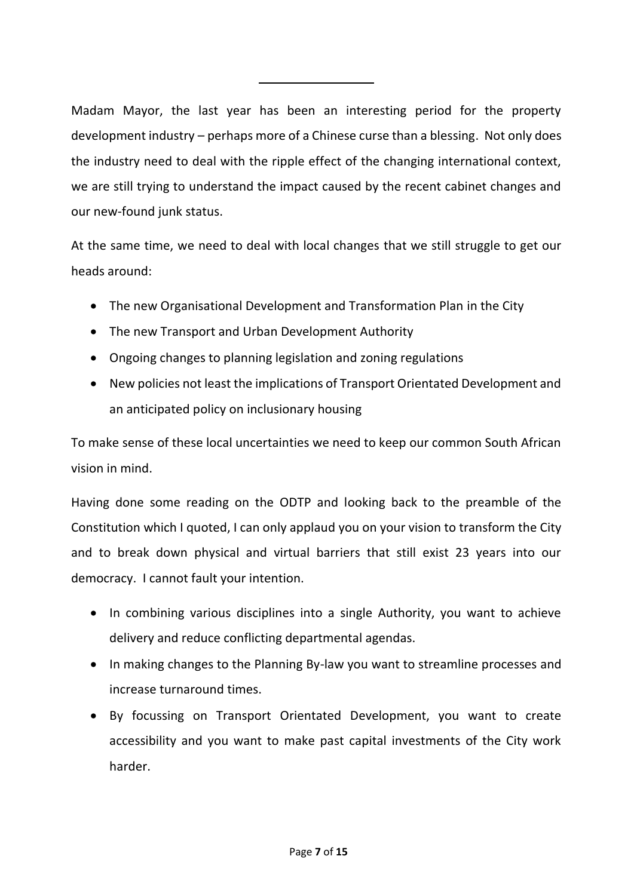Madam Mayor, the last year has been an interesting period for the property development industry – perhaps more of a Chinese curse than a blessing. Not only does the industry need to deal with the ripple effect of the changing international context, we are still trying to understand the impact caused by the recent cabinet changes and our new-found junk status.

At the same time, we need to deal with local changes that we still struggle to get our heads around:

- The new Organisational Development and Transformation Plan in the City
- The new Transport and Urban Development Authority
- Ongoing changes to planning legislation and zoning regulations
- New policies not least the implications of Transport Orientated Development and an anticipated policy on inclusionary housing

To make sense of these local uncertainties we need to keep our common South African vision in mind.

Having done some reading on the ODTP and looking back to the preamble of the Constitution which I quoted, I can only applaud you on your vision to transform the City and to break down physical and virtual barriers that still exist 23 years into our democracy. I cannot fault your intention.

- In combining various disciplines into a single Authority, you want to achieve delivery and reduce conflicting departmental agendas.
- In making changes to the Planning By-law you want to streamline processes and increase turnaround times.
- By focussing on Transport Orientated Development, you want to create accessibility and you want to make past capital investments of the City work harder.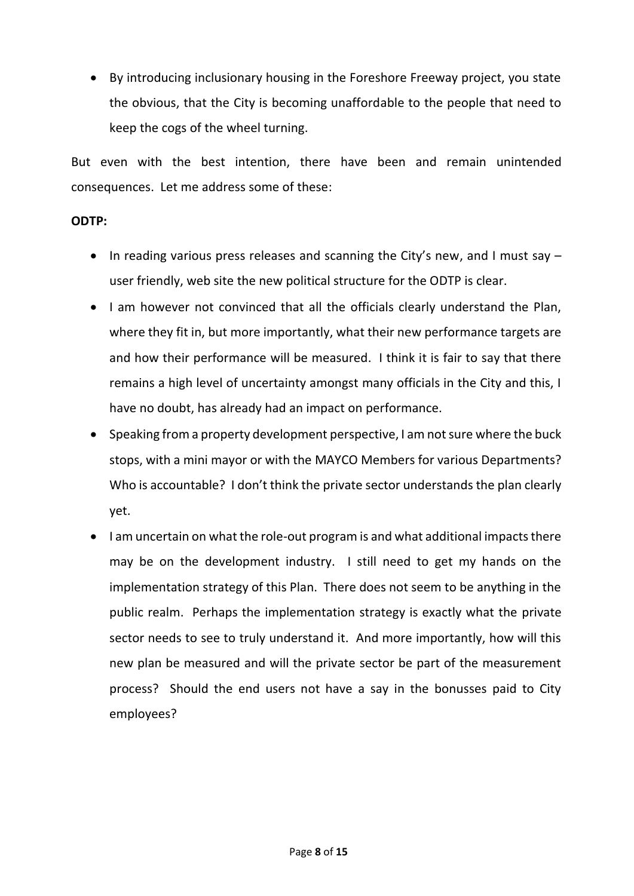• By introducing inclusionary housing in the Foreshore Freeway project, you state the obvious, that the City is becoming unaffordable to the people that need to keep the cogs of the wheel turning.

But even with the best intention, there have been and remain unintended consequences. Let me address some of these:

### **ODTP:**

- In reading various press releases and scanning the City's new, and I must say user friendly, web site the new political structure for the ODTP is clear.
- I am however not convinced that all the officials clearly understand the Plan, where they fit in, but more importantly, what their new performance targets are and how their performance will be measured. I think it is fair to say that there remains a high level of uncertainty amongst many officials in the City and this, I have no doubt, has already had an impact on performance.
- Speaking from a property development perspective, I am not sure where the buck stops, with a mini mayor or with the MAYCO Members for various Departments? Who is accountable? I don't think the private sector understands the plan clearly yet.
- I am uncertain on what the role-out program is and what additional impacts there may be on the development industry. I still need to get my hands on the implementation strategy of this Plan. There does not seem to be anything in the public realm. Perhaps the implementation strategy is exactly what the private sector needs to see to truly understand it. And more importantly, how will this new plan be measured and will the private sector be part of the measurement process? Should the end users not have a say in the bonusses paid to City employees?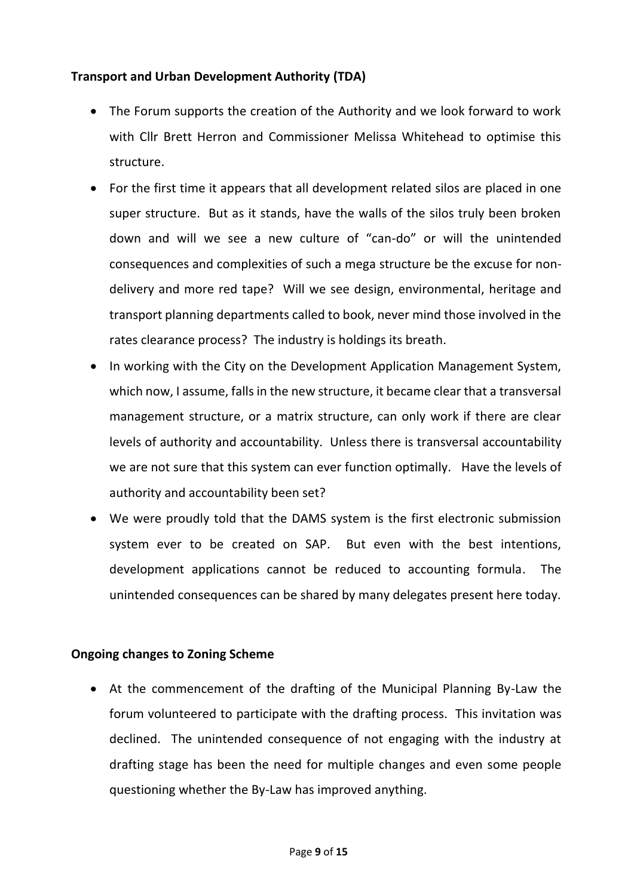## **Transport and Urban Development Authority (TDA)**

- The Forum supports the creation of the Authority and we look forward to work with Cllr Brett Herron and Commissioner Melissa Whitehead to optimise this structure.
- For the first time it appears that all development related silos are placed in one super structure. But as it stands, have the walls of the silos truly been broken down and will we see a new culture of "can-do" or will the unintended consequences and complexities of such a mega structure be the excuse for nondelivery and more red tape? Will we see design, environmental, heritage and transport planning departments called to book, never mind those involved in the rates clearance process? The industry is holdings its breath.
- In working with the City on the Development Application Management System, which now, I assume, falls in the new structure, it became clear that a transversal management structure, or a matrix structure, can only work if there are clear levels of authority and accountability. Unless there is transversal accountability we are not sure that this system can ever function optimally. Have the levels of authority and accountability been set?
- We were proudly told that the DAMS system is the first electronic submission system ever to be created on SAP. But even with the best intentions, development applications cannot be reduced to accounting formula. The unintended consequences can be shared by many delegates present here today.

## **Ongoing changes to Zoning Scheme**

• At the commencement of the drafting of the Municipal Planning By-Law the forum volunteered to participate with the drafting process. This invitation was declined. The unintended consequence of not engaging with the industry at drafting stage has been the need for multiple changes and even some people questioning whether the By-Law has improved anything.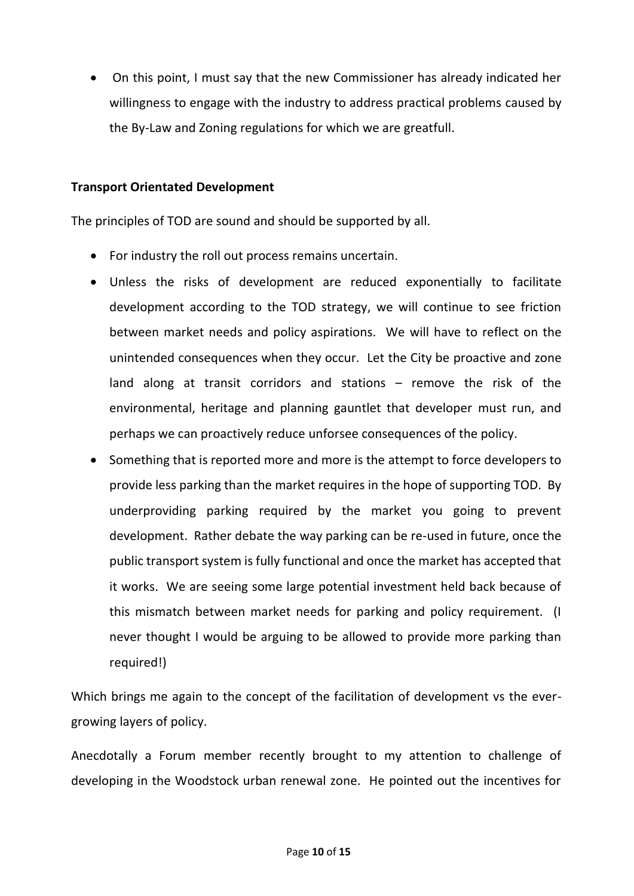• On this point, I must say that the new Commissioner has already indicated her willingness to engage with the industry to address practical problems caused by the By-Law and Zoning regulations for which we are greatfull.

#### **Transport Orientated Development**

The principles of TOD are sound and should be supported by all.

- For industry the roll out process remains uncertain.
- Unless the risks of development are reduced exponentially to facilitate development according to the TOD strategy, we will continue to see friction between market needs and policy aspirations. We will have to reflect on the unintended consequences when they occur. Let the City be proactive and zone land along at transit corridors and stations – remove the risk of the environmental, heritage and planning gauntlet that developer must run, and perhaps we can proactively reduce unforsee consequences of the policy.
- Something that is reported more and more is the attempt to force developers to provide less parking than the market requires in the hope of supporting TOD. By underproviding parking required by the market you going to prevent development. Rather debate the way parking can be re-used in future, once the public transport system is fully functional and once the market has accepted that it works. We are seeing some large potential investment held back because of this mismatch between market needs for parking and policy requirement. (I never thought I would be arguing to be allowed to provide more parking than required!)

Which brings me again to the concept of the facilitation of development vs the evergrowing layers of policy.

Anecdotally a Forum member recently brought to my attention to challenge of developing in the Woodstock urban renewal zone. He pointed out the incentives for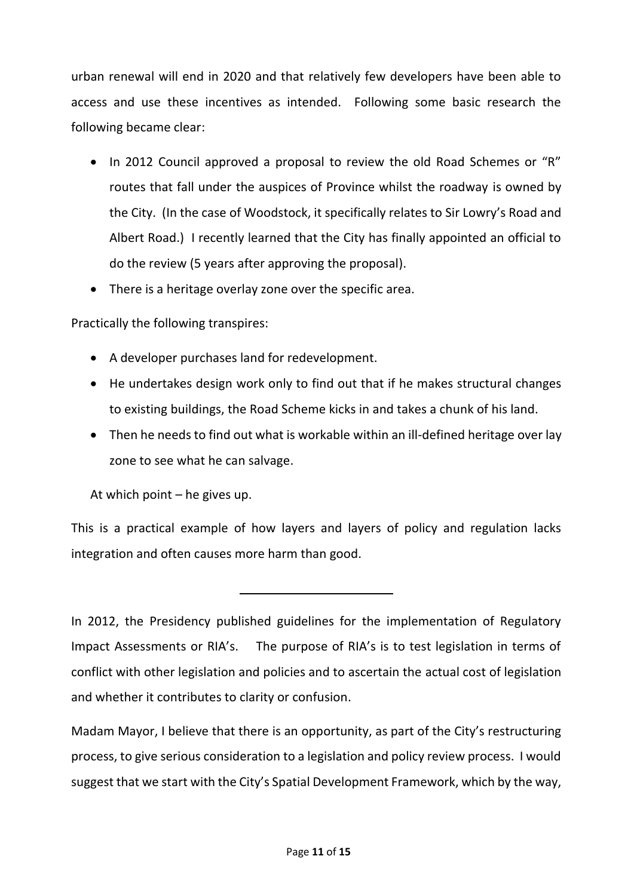urban renewal will end in 2020 and that relatively few developers have been able to access and use these incentives as intended. Following some basic research the following became clear:

- In 2012 Council approved a proposal to review the old Road Schemes or "R" routes that fall under the auspices of Province whilst the roadway is owned by the City. (In the case of Woodstock, it specifically relates to Sir Lowry's Road and Albert Road.) I recently learned that the City has finally appointed an official to do the review (5 years after approving the proposal).
- There is a heritage overlay zone over the specific area.

## Practically the following transpires:

- A developer purchases land for redevelopment.
- He undertakes design work only to find out that if he makes structural changes to existing buildings, the Road Scheme kicks in and takes a chunk of his land.
- Then he needs to find out what is workable within an ill-defined heritage over lay zone to see what he can salvage.

At which point – he gives up.

This is a practical example of how layers and layers of policy and regulation lacks integration and often causes more harm than good.

In 2012, the Presidency published guidelines for the implementation of Regulatory Impact Assessments or RIA's. The purpose of RIA's is to test legislation in terms of conflict with other legislation and policies and to ascertain the actual cost of legislation and whether it contributes to clarity or confusion.

Madam Mayor, I believe that there is an opportunity, as part of the City's restructuring process, to give serious consideration to a legislation and policy review process. I would suggest that we start with the City's Spatial Development Framework, which by the way,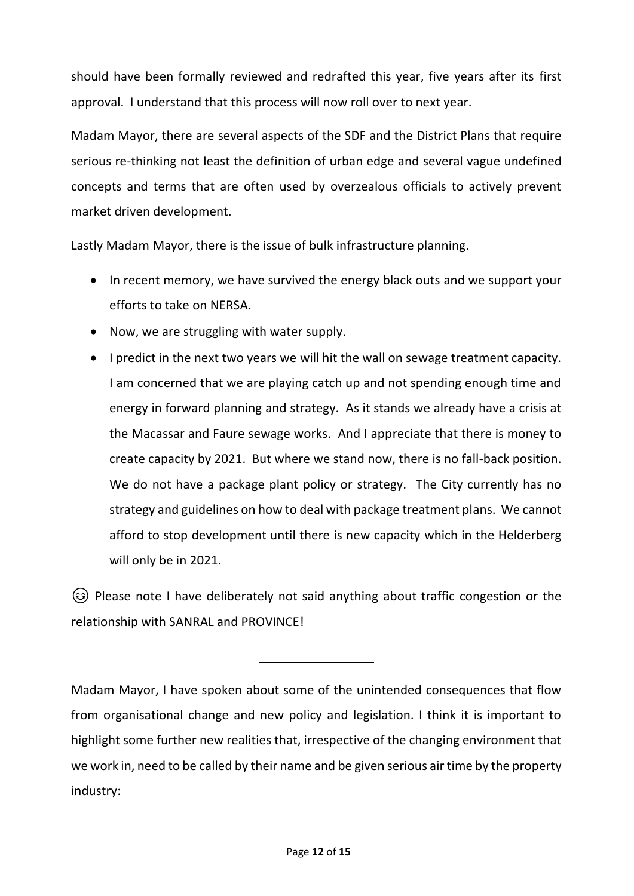should have been formally reviewed and redrafted this year, five years after its first approval. I understand that this process will now roll over to next year.

Madam Mayor, there are several aspects of the SDF and the District Plans that require serious re-thinking not least the definition of urban edge and several vague undefined concepts and terms that are often used by overzealous officials to actively prevent market driven development.

Lastly Madam Mayor, there is the issue of bulk infrastructure planning.

- In recent memory, we have survived the energy black outs and we support your efforts to take on NERSA.
- Now, we are struggling with water supply.
- I predict in the next two years we will hit the wall on sewage treatment capacity. I am concerned that we are playing catch up and not spending enough time and energy in forward planning and strategy. As it stands we already have a crisis at the Macassar and Faure sewage works. And I appreciate that there is money to create capacity by 2021. But where we stand now, there is no fall-back position. We do not have a package plant policy or strategy. The City currently has no strategy and guidelines on how to deal with package treatment plans. We cannot afford to stop development until there is new capacity which in the Helderberg will only be in 2021.

 Please note I have deliberately not said anything about traffic congestion or the relationship with SANRAL and PROVINCE!

Madam Mayor, I have spoken about some of the unintended consequences that flow from organisational change and new policy and legislation. I think it is important to highlight some further new realities that, irrespective of the changing environment that we work in, need to be called by their name and be given serious air time by the property industry: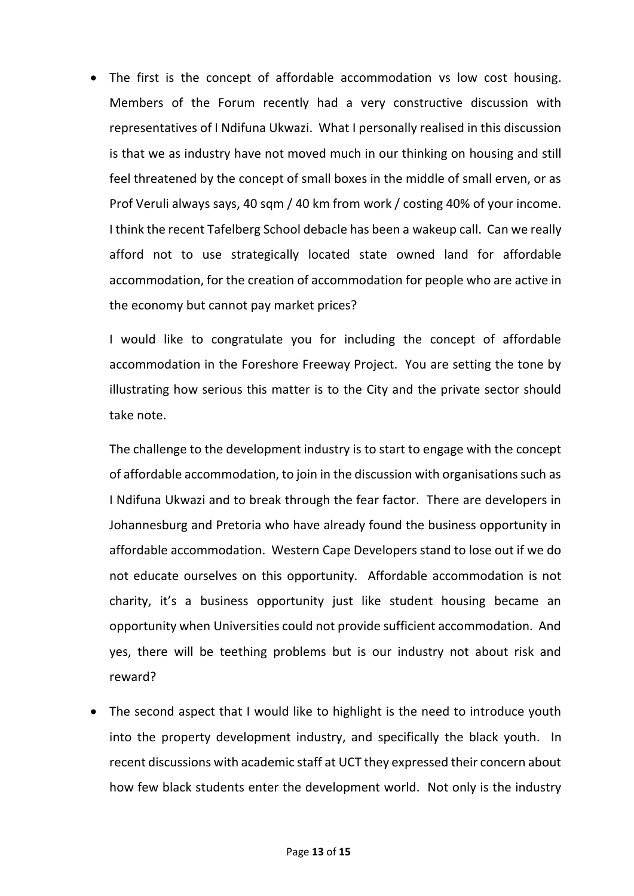The first is the concept of affordable accommodation vs low cost housing. Members of the Forum recently had a very constructive discussion with representatives of I Ndifuna Ukwazi. What I personally realised in this discussion is that we as industry have not moved much in our thinking on housing and still feel threatened by the concept of small boxes in the middle of small erven, or as Prof Veruli always says, 40 sqm / 40 km from work / costing 40% of your income. I think the recent Tafelberg School debacle has been a wakeup call. Can we really afford not to use strategically located state owned land for affordable accommodation, for the creation of accommodation for people who are active in the economy but cannot pay market prices?

I would like to congratulate you for including the concept of affordable accommodation in the Foreshore Freeway Project. You are setting the tone by illustrating how serious this matter is to the City and the private sector should take note.

The challenge to the development industry is to start to engage with the concept of affordable accommodation, to join in the discussion with organisations such as I Ndifuna Ukwazi and to break through the fear factor. There are developers in Johannesburg and Pretoria who have already found the business opportunity in affordable accommodation. Western Cape Developers stand to lose out if we do not educate ourselves on this opportunity. Affordable accommodation is not charity, it's a business opportunity just like student housing became an opportunity when Universities could not provide sufficient accommodation. And yes, there will be teething problems but is our industry not about risk and reward?

The second aspect that I would like to highlight is the need to introduce youth into the property development industry, and specifically the black youth. In recent discussions with academic staff at UCT they expressed their concern about how few black students enter the development world. Not only is the industry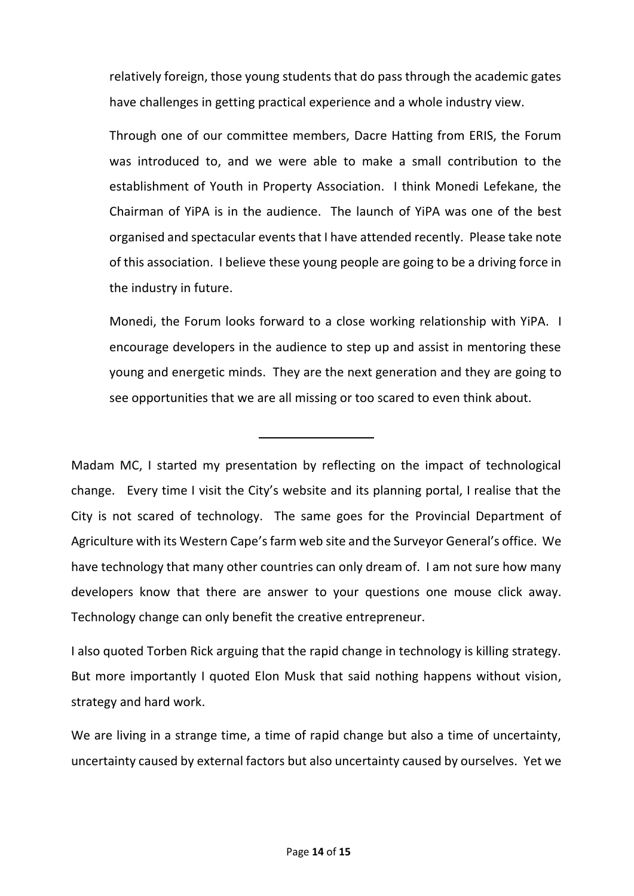relatively foreign, those young students that do pass through the academic gates have challenges in getting practical experience and a whole industry view.

Through one of our committee members, Dacre Hatting from ERIS, the Forum was introduced to, and we were able to make a small contribution to the establishment of Youth in Property Association. I think Monedi Lefekane, the Chairman of YiPA is in the audience. The launch of YiPA was one of the best organised and spectacular events that I have attended recently. Please take note of this association. I believe these young people are going to be a driving force in the industry in future.

Monedi, the Forum looks forward to a close working relationship with YiPA. I encourage developers in the audience to step up and assist in mentoring these young and energetic minds. They are the next generation and they are going to see opportunities that we are all missing or too scared to even think about.

Madam MC, I started my presentation by reflecting on the impact of technological change. Every time I visit the City's website and its planning portal, I realise that the City is not scared of technology. The same goes for the Provincial Department of Agriculture with its Western Cape's farm web site and the Surveyor General's office. We have technology that many other countries can only dream of. I am not sure how many developers know that there are answer to your questions one mouse click away. Technology change can only benefit the creative entrepreneur.

I also quoted Torben Rick arguing that the rapid change in technology is killing strategy. But more importantly I quoted Elon Musk that said nothing happens without vision, strategy and hard work.

We are living in a strange time, a time of rapid change but also a time of uncertainty, uncertainty caused by external factors but also uncertainty caused by ourselves. Yet we